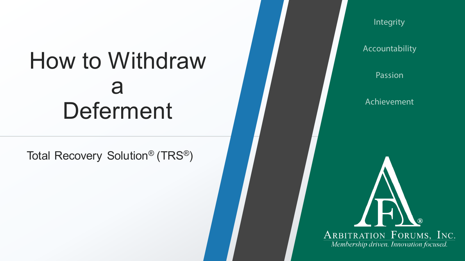### How to Withdraw a Deferment

Total Recovery Solution® (TRS®)

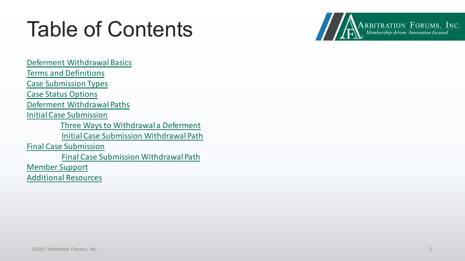### <span id="page-1-0"></span>Table of Contents

ARBITRATION FORUMS, INC.<br>Membership driven. Innovation focused.

[Deferment Withdrawal Basics](#page-2-0) [Terms and Definitions](#page-3-0) [Case Submission Types](#page-4-0) [Case Status Options](#page-5-0) [Deferment Withdrawal Paths](#page-6-0) [Initial Case Submission](#page-7-0) [Three Ways to Withdrawal a Deferment](#page-8-0) [Initial Case Submission Withdrawal Path](#page-9-0) [Final Case Submission](#page-10-0) [Final Case Submission Withdrawal Path](#page-11-0) [Member Support](#page-12-0) [Additional Resources](#page-13-0)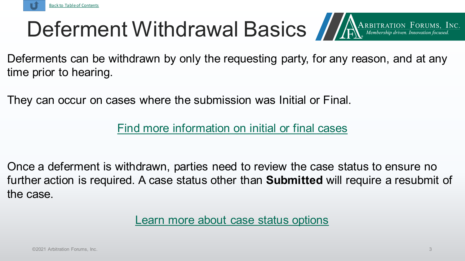<span id="page-2-0"></span>

## Deferment Withdrawal Basics ARARBITRATION FORUMS, INC.



Deferments can be withdrawn by only the requesting party, for any reason, and at any time prior to hearing.

They can occur on cases where the submission was Initial or Final.

[Find more information on initial or final cases](#page-3-0)

Once a deferment is withdrawn, parties need to review the case status to ensure no further action is required. A case status other than **Submitted** will require a resubmit of the case.

[Learn more about case status options](#page-8-0)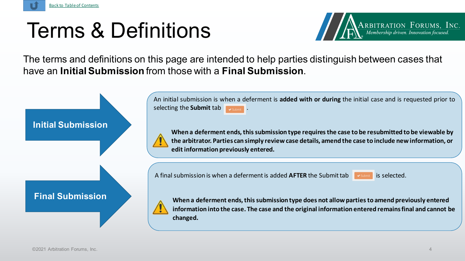<span id="page-3-0"></span>

#### Terms & Definitions



The terms and definitions on this page are intended to help parties distinguish between cases that have an **Initial Submission** from those with a **Final Submission**.

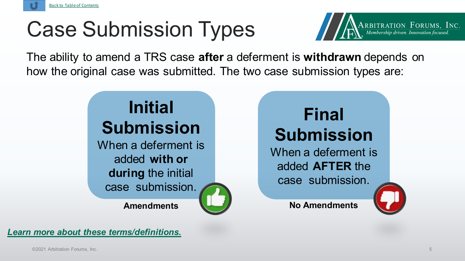<span id="page-4-0"></span>

### Case Submission Types



The ability to amend a TRS case **after** a deferment is **withdrawn** depends on how the original case was submitted. The two case submission types are:

#### **Initial Submission**

When a deferment is added **with or during** the initial

case submission.



When a deferment is added **AFTER** the case submission.

**Amendments No Amendments**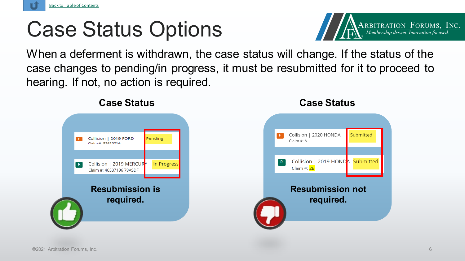<span id="page-5-0"></span>

### Case Status Options



When a deferment is withdrawn, the case status will change. If the status of the case changes to pending/in progress, it must be resubmitted for it to proceed to hearing. If not, no action is required.



#### **Case Status Case Status**

#### Collision | 2020 HONDA Submitted  $F$ Claim #: A Collision | 2019 HONDA Submitted  $R$ Claim #: 2B **Resubmission not required.**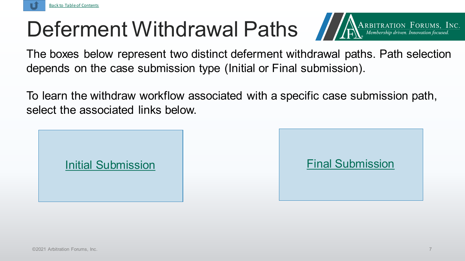<span id="page-6-0"></span>

### Deferment Withdrawal Paths *Inderstation Forcums*, Inc.



The boxes below represent two distinct deferment withdrawal paths. Path selection depends on the case submission type (Initial or Final submission).

To learn the withdraw workflow associated with a specific case submission path, select the associated links below.

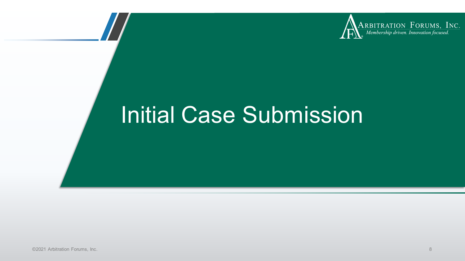

### <span id="page-7-0"></span>Initial Case Submission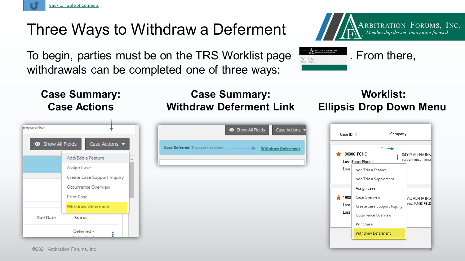<span id="page-8-0"></span>

#### Three Ways to Withdraw a Deferment

To begin, parties must be on the TRS Worklist page **FANCILIST PROPERTY**. From there, withdrawals can be completed one of three ways:



**Case Summary: Case Actions**

| Show All Fields | Case Actions ▼              |    | Case Deferred: The case has been |
|-----------------|-----------------------------|----|----------------------------------|
|                 | Add/Edit a Feature          | A. |                                  |
|                 | Assign Case                 |    |                                  |
|                 | Create Case Support Inquiry |    |                                  |
|                 | Occurrence Overview         |    |                                  |
|                 | Print Case                  |    |                                  |
|                 | Withdraw Deferment          |    |                                  |
| <b>Due Date</b> | <b>Status</b>               |    |                                  |
|                 | Deferred -                  |    |                                  |

#### **Case Summary: Withdraw Deferment Link**

|                                  | Show All Fields | Case Actions -            |
|----------------------------------|-----------------|---------------------------|
| Case Deferred: The case has been | ⋗               | <b>Withdraw Deferment</b> |
|                                  |                 |                           |
|                                  |                 |                           |
|                                  |                 |                           |
|                                  |                 |                           |
|                                  |                 |                           |

#### **Worklist: Ellipsis Drop Down Menu**

| Case ID $\triangle$ |                             | Company |                                     |  |  |
|---------------------|-----------------------------|---------|-------------------------------------|--|--|
|                     | 1900001FC3-C1               |         | 04513 ALPHA INSU                    |  |  |
|                     | Loss State: Florida         |         | Insured: BRAY THOMA                 |  |  |
| Loss                | Add/Edit a Feature          |         |                                     |  |  |
|                     | Add/Edit a Supplement       |         |                                     |  |  |
|                     | Assign Case                 |         |                                     |  |  |
| 1900                | Case Overview               |         | 513 ALPHA INSI<br>ired: JAMES FIELD |  |  |
| Loss                | Create Case Support Inquiry |         |                                     |  |  |
| Loss                | Occurrence Overview         |         |                                     |  |  |
|                     | Print Case                  |         |                                     |  |  |
|                     | <b>Withdraw Deferment</b>   |         |                                     |  |  |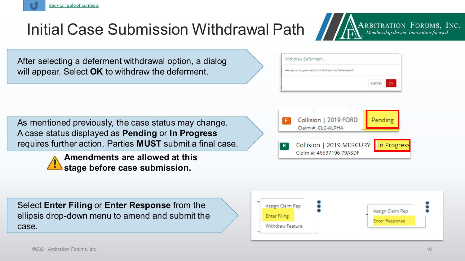[Back to Table of Contents](#page-1-0)

Select **Enter Filing** or **Enter Response** from the ellipsis drop-down menu to amend and submit the case.

# **Enter Filing**



As mentioned previously, the case status may change. A case status displayed as **Pending** or **In Progress**  requires further action. Parties **MUST** submit a final case.

**Amendments are allowed at this** 

**stage before case submission.**



After selecting a deferment withdrawal option, a dialog will appear. Select **OK** to withdraw the deferment.

### <span id="page-9-0"></span>Initial Case Submission Withdrawal Path



 $\sum_{k} \sum_{\text{Membership driven.}\text{ Innovation focused.}}$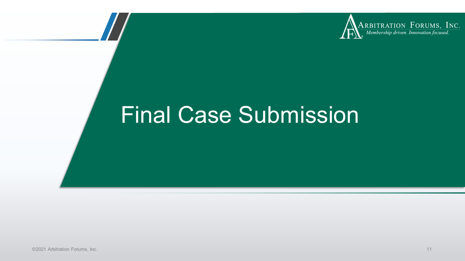

### <span id="page-10-0"></span>Final Case Submission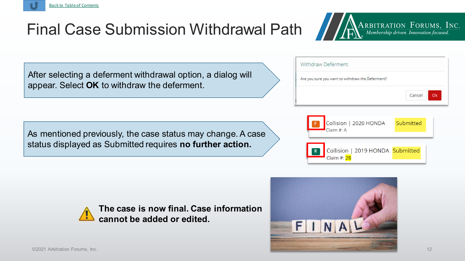#### Final Case Submission Withdrawal Path

After selecting a deferment withdrawal option, a dialog will appear. Select **OK** to withdraw the deferment.

As mentioned previously, the case status may change. A case status displayed as Submitted requires **no further action.**







**The case is now final. Case information cannot be added or edited.**





<span id="page-11-0"></span>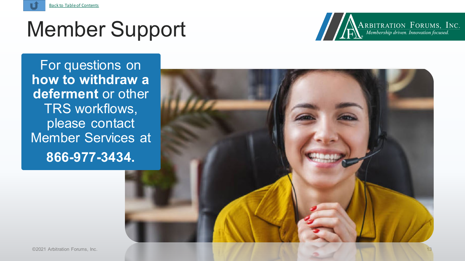<span id="page-12-0"></span>

#### Member Support

For questions on **how to withdraw a deferment** or other TRS workflows, please contact Member Services at **866 -977 -3434.**